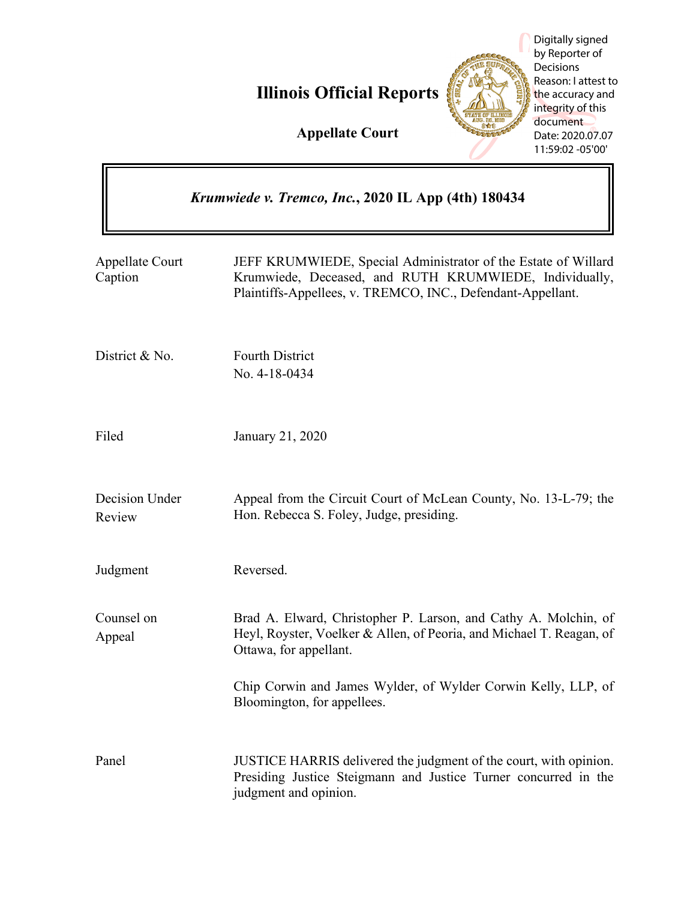**Illinois Official Reports**



Digitally signed by Reporter of **Decisions** Reason: I attest to the accuracy and integrity of this document Date: 2020.07.07 11:59:02 -05'00'

**Appellate Court**

| Krumwiede v. Tremco, Inc., 2020 IL App (4th) 180434 |                                                                                                                                                                                         |
|-----------------------------------------------------|-----------------------------------------------------------------------------------------------------------------------------------------------------------------------------------------|
| Appellate Court<br>Caption                          | JEFF KRUMWIEDE, Special Administrator of the Estate of Willard<br>Krumwiede, Deceased, and RUTH KRUMWIEDE, Individually,<br>Plaintiffs-Appellees, v. TREMCO, INC., Defendant-Appellant. |
| District & No.                                      | <b>Fourth District</b><br>No. 4-18-0434                                                                                                                                                 |
| Filed                                               | January 21, 2020                                                                                                                                                                        |
| Decision Under<br>Review                            | Appeal from the Circuit Court of McLean County, No. 13-L-79; the<br>Hon. Rebecca S. Foley, Judge, presiding.                                                                            |
| Judgment                                            | Reversed.                                                                                                                                                                               |
| Counsel on<br>Appeal                                | Brad A. Elward, Christopher P. Larson, and Cathy A. Molchin, of<br>Heyl, Royster, Voelker & Allen, of Peoria, and Michael T. Reagan, of<br>Ottawa, for appellant.                       |
|                                                     | Chip Corwin and James Wylder, of Wylder Corwin Kelly, LLP, of<br>Bloomington, for appellees.                                                                                            |
| Panel                                               | JUSTICE HARRIS delivered the judgment of the court, with opinion.<br>Presiding Justice Steigmann and Justice Turner concurred in the<br>judgment and opinion.                           |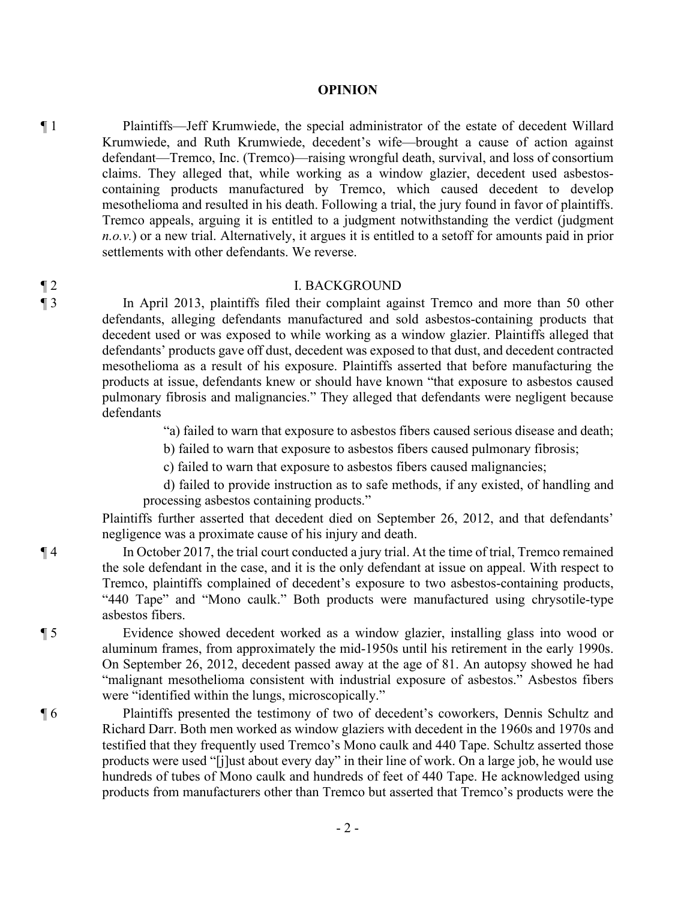#### **OPINION**

¶ 1 Plaintiffs—Jeff Krumwiede, the special administrator of the estate of decedent Willard Krumwiede, and Ruth Krumwiede, decedent's wife—brought a cause of action against defendant—Tremco, Inc. (Tremco)—raising wrongful death, survival, and loss of consortium claims. They alleged that, while working as a window glazier, decedent used asbestoscontaining products manufactured by Tremco, which caused decedent to develop mesothelioma and resulted in his death. Following a trial, the jury found in favor of plaintiffs. Tremco appeals, arguing it is entitled to a judgment notwithstanding the verdict (judgment *n.o.v.*) or a new trial. Alternatively, it argues it is entitled to a setoff for amounts paid in prior settlements with other defendants. We reverse.

#### ¶ 2 I. BACKGROUND

¶ 3 In April 2013, plaintiffs filed their complaint against Tremco and more than 50 other defendants, alleging defendants manufactured and sold asbestos-containing products that decedent used or was exposed to while working as a window glazier. Plaintiffs alleged that defendants' products gave off dust, decedent was exposed to that dust, and decedent contracted mesothelioma as a result of his exposure. Plaintiffs asserted that before manufacturing the products at issue, defendants knew or should have known "that exposure to asbestos caused pulmonary fibrosis and malignancies." They alleged that defendants were negligent because defendants

"a) failed to warn that exposure to asbestos fibers caused serious disease and death;

b) failed to warn that exposure to asbestos fibers caused pulmonary fibrosis;

c) failed to warn that exposure to asbestos fibers caused malignancies;

d) failed to provide instruction as to safe methods, if any existed, of handling and processing asbestos containing products."

Plaintiffs further asserted that decedent died on September 26, 2012, and that defendants' negligence was a proximate cause of his injury and death.

¶ 4 In October 2017, the trial court conducted a jury trial. At the time of trial, Tremco remained the sole defendant in the case, and it is the only defendant at issue on appeal. With respect to Tremco, plaintiffs complained of decedent's exposure to two asbestos-containing products, "440 Tape" and "Mono caulk." Both products were manufactured using chrysotile-type asbestos fibers.

¶ 5 Evidence showed decedent worked as a window glazier, installing glass into wood or aluminum frames, from approximately the mid-1950s until his retirement in the early 1990s. On September 26, 2012, decedent passed away at the age of 81. An autopsy showed he had "malignant mesothelioma consistent with industrial exposure of asbestos." Asbestos fibers were "identified within the lungs, microscopically."

¶ 6 Plaintiffs presented the testimony of two of decedent's coworkers, Dennis Schultz and Richard Darr. Both men worked as window glaziers with decedent in the 1960s and 1970s and testified that they frequently used Tremco's Mono caulk and 440 Tape. Schultz asserted those products were used "[j]ust about every day" in their line of work. On a large job, he would use hundreds of tubes of Mono caulk and hundreds of feet of 440 Tape. He acknowledged using products from manufacturers other than Tremco but asserted that Tremco's products were the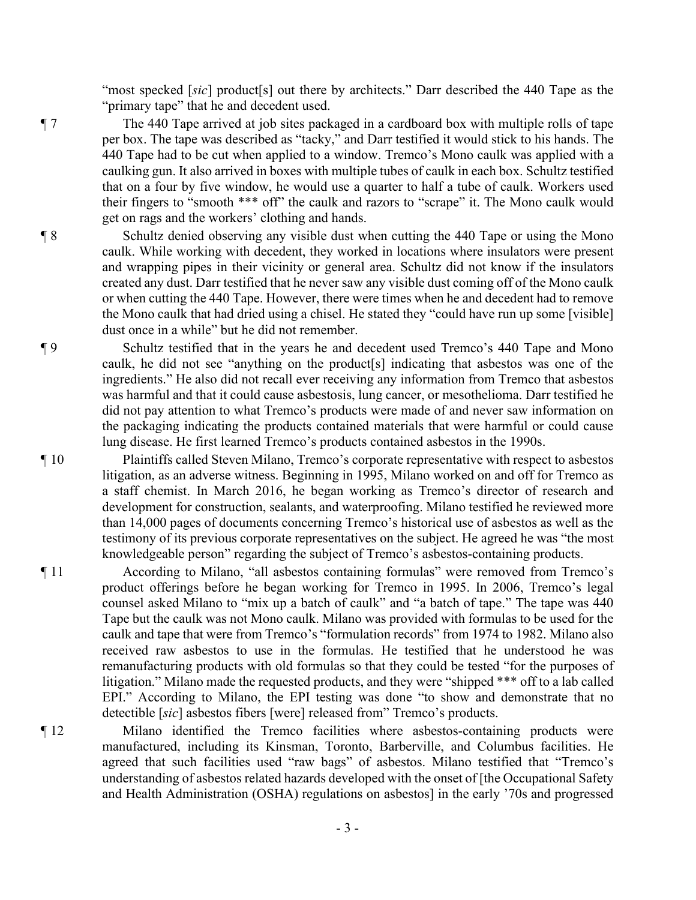"most specked [sic] product<sup>[s]</sup> out there by architects." Darr described the 440 Tape as the "primary tape" that he and decedent used.

¶ 7 The 440 Tape arrived at job sites packaged in a cardboard box with multiple rolls of tape per box. The tape was described as "tacky," and Darr testified it would stick to his hands. The 440 Tape had to be cut when applied to a window. Tremco's Mono caulk was applied with a caulking gun. It also arrived in boxes with multiple tubes of caulk in each box. Schultz testified that on a four by five window, he would use a quarter to half a tube of caulk. Workers used their fingers to "smooth \*\*\* off" the caulk and razors to "scrape" it. The Mono caulk would get on rags and the workers' clothing and hands.

¶ 8 Schultz denied observing any visible dust when cutting the 440 Tape or using the Mono caulk. While working with decedent, they worked in locations where insulators were present and wrapping pipes in their vicinity or general area. Schultz did not know if the insulators created any dust. Darr testified that he never saw any visible dust coming off of the Mono caulk or when cutting the 440 Tape. However, there were times when he and decedent had to remove the Mono caulk that had dried using a chisel. He stated they "could have run up some [visible] dust once in a while" but he did not remember.

¶ 9 Schultz testified that in the years he and decedent used Tremco's 440 Tape and Mono caulk, he did not see "anything on the product[s] indicating that asbestos was one of the ingredients." He also did not recall ever receiving any information from Tremco that asbestos was harmful and that it could cause asbestosis, lung cancer, or mesothelioma. Darr testified he did not pay attention to what Tremco's products were made of and never saw information on the packaging indicating the products contained materials that were harmful or could cause lung disease. He first learned Tremco's products contained asbestos in the 1990s.

¶ 10 Plaintiffs called Steven Milano, Tremco's corporate representative with respect to asbestos litigation, as an adverse witness. Beginning in 1995, Milano worked on and off for Tremco as a staff chemist. In March 2016, he began working as Tremco's director of research and development for construction, sealants, and waterproofing. Milano testified he reviewed more than 14,000 pages of documents concerning Tremco's historical use of asbestos as well as the testimony of its previous corporate representatives on the subject. He agreed he was "the most knowledgeable person" regarding the subject of Tremco's asbestos-containing products.

- ¶ 11 According to Milano, "all asbestos containing formulas" were removed from Tremco's product offerings before he began working for Tremco in 1995. In 2006, Tremco's legal counsel asked Milano to "mix up a batch of caulk" and "a batch of tape." The tape was 440 Tape but the caulk was not Mono caulk. Milano was provided with formulas to be used for the caulk and tape that were from Tremco's "formulation records" from 1974 to 1982. Milano also received raw asbestos to use in the formulas. He testified that he understood he was remanufacturing products with old formulas so that they could be tested "for the purposes of litigation." Milano made the requested products, and they were "shipped \*\*\* off to a lab called EPI." According to Milano, the EPI testing was done "to show and demonstrate that no detectible [*sic*] asbestos fibers [were] released from" Tremco's products.
- ¶ 12 Milano identified the Tremco facilities where asbestos-containing products were manufactured, including its Kinsman, Toronto, Barberville, and Columbus facilities. He agreed that such facilities used "raw bags" of asbestos. Milano testified that "Tremco's understanding of asbestos related hazards developed with the onset of [the Occupational Safety and Health Administration (OSHA) regulations on asbestos] in the early '70s and progressed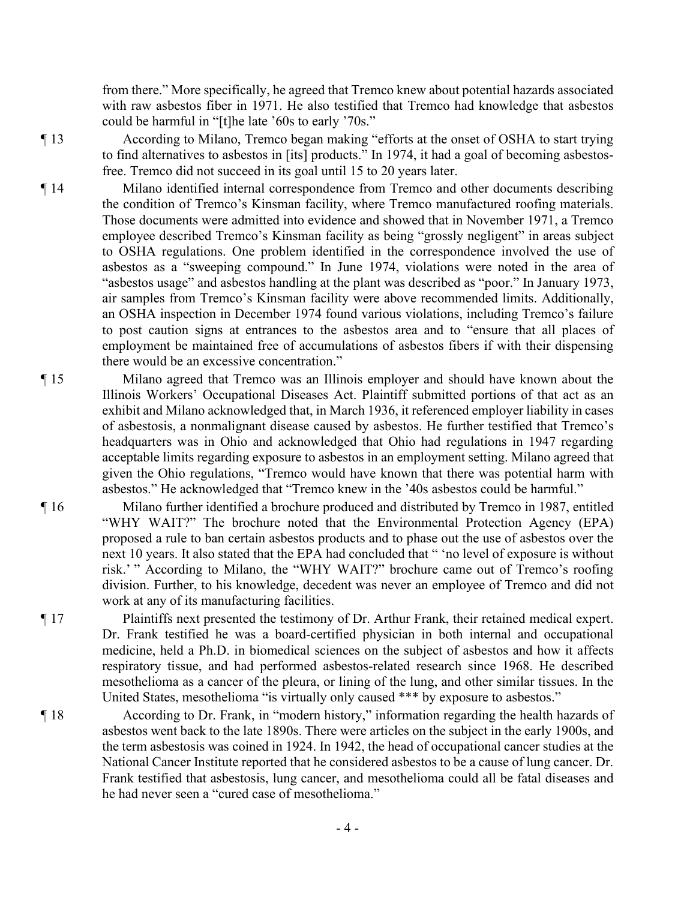from there." More specifically, he agreed that Tremco knew about potential hazards associated with raw asbestos fiber in 1971. He also testified that Tremco had knowledge that asbestos could be harmful in "[t]he late '60s to early '70s."

¶ 13 According to Milano, Tremco began making "efforts at the onset of OSHA to start trying to find alternatives to asbestos in [its] products." In 1974, it had a goal of becoming asbestosfree. Tremco did not succeed in its goal until 15 to 20 years later.

¶ 14 Milano identified internal correspondence from Tremco and other documents describing the condition of Tremco's Kinsman facility, where Tremco manufactured roofing materials. Those documents were admitted into evidence and showed that in November 1971, a Tremco employee described Tremco's Kinsman facility as being "grossly negligent" in areas subject to OSHA regulations. One problem identified in the correspondence involved the use of asbestos as a "sweeping compound." In June 1974, violations were noted in the area of "asbestos usage" and asbestos handling at the plant was described as "poor." In January 1973, air samples from Tremco's Kinsman facility were above recommended limits. Additionally, an OSHA inspection in December 1974 found various violations, including Tremco's failure to post caution signs at entrances to the asbestos area and to "ensure that all places of employment be maintained free of accumulations of asbestos fibers if with their dispensing there would be an excessive concentration."

- ¶ 15 Milano agreed that Tremco was an Illinois employer and should have known about the Illinois Workers' Occupational Diseases Act. Plaintiff submitted portions of that act as an exhibit and Milano acknowledged that, in March 1936, it referenced employer liability in cases of asbestosis, a nonmalignant disease caused by asbestos. He further testified that Tremco's headquarters was in Ohio and acknowledged that Ohio had regulations in 1947 regarding acceptable limits regarding exposure to asbestos in an employment setting. Milano agreed that given the Ohio regulations, "Tremco would have known that there was potential harm with asbestos." He acknowledged that "Tremco knew in the '40s asbestos could be harmful."
- ¶ 16 Milano further identified a brochure produced and distributed by Tremco in 1987, entitled "WHY WAIT?" The brochure noted that the Environmental Protection Agency (EPA) proposed a rule to ban certain asbestos products and to phase out the use of asbestos over the next 10 years. It also stated that the EPA had concluded that " 'no level of exposure is without risk.' " According to Milano, the "WHY WAIT?" brochure came out of Tremco's roofing division. Further, to his knowledge, decedent was never an employee of Tremco and did not work at any of its manufacturing facilities.

¶ 17 Plaintiffs next presented the testimony of Dr. Arthur Frank, their retained medical expert. Dr. Frank testified he was a board-certified physician in both internal and occupational medicine, held a Ph.D. in biomedical sciences on the subject of asbestos and how it affects respiratory tissue, and had performed asbestos-related research since 1968. He described mesothelioma as a cancer of the pleura, or lining of the lung, and other similar tissues. In the United States, mesothelioma "is virtually only caused \*\*\* by exposure to asbestos."

- ¶ 18 According to Dr. Frank, in "modern history," information regarding the health hazards of asbestos went back to the late 1890s. There were articles on the subject in the early 1900s, and the term asbestosis was coined in 1924. In 1942, the head of occupational cancer studies at the National Cancer Institute reported that he considered asbestos to be a cause of lung cancer. Dr. Frank testified that asbestosis, lung cancer, and mesothelioma could all be fatal diseases and he had never seen a "cured case of mesothelioma."
	- 4 -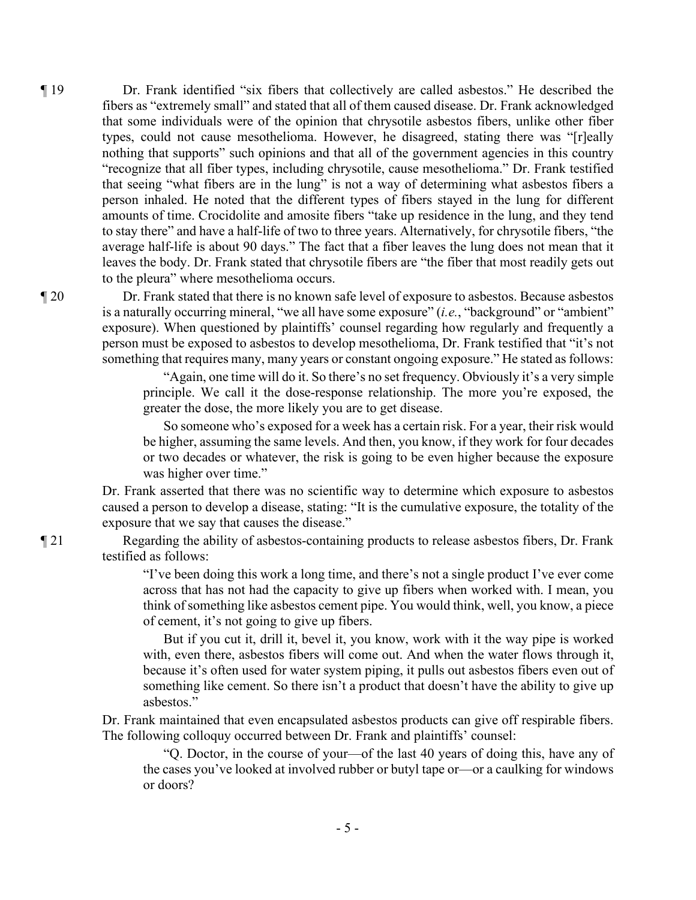¶ 19 Dr. Frank identified "six fibers that collectively are called asbestos." He described the fibers as "extremely small" and stated that all of them caused disease. Dr. Frank acknowledged that some individuals were of the opinion that chrysotile asbestos fibers, unlike other fiber types, could not cause mesothelioma. However, he disagreed, stating there was "[r]eally nothing that supports" such opinions and that all of the government agencies in this country "recognize that all fiber types, including chrysotile, cause mesothelioma." Dr. Frank testified that seeing "what fibers are in the lung" is not a way of determining what asbestos fibers a person inhaled. He noted that the different types of fibers stayed in the lung for different amounts of time. Crocidolite and amosite fibers "take up residence in the lung, and they tend to stay there" and have a half-life of two to three years. Alternatively, for chrysotile fibers, "the average half-life is about 90 days." The fact that a fiber leaves the lung does not mean that it leaves the body. Dr. Frank stated that chrysotile fibers are "the fiber that most readily gets out to the pleura" where mesothelioma occurs.

¶ 20 Dr. Frank stated that there is no known safe level of exposure to asbestos. Because asbestos is a naturally occurring mineral, "we all have some exposure" (*i.e.*, "background" or "ambient" exposure). When questioned by plaintiffs' counsel regarding how regularly and frequently a person must be exposed to asbestos to develop mesothelioma, Dr. Frank testified that "it's not something that requires many, many years or constant ongoing exposure." He stated as follows:

> "Again, one time will do it. So there's no set frequency. Obviously it's a very simple principle. We call it the dose-response relationship. The more you're exposed, the greater the dose, the more likely you are to get disease.

> So someone who's exposed for a week has a certain risk. For a year, their risk would be higher, assuming the same levels. And then, you know, if they work for four decades or two decades or whatever, the risk is going to be even higher because the exposure was higher over time."

Dr. Frank asserted that there was no scientific way to determine which exposure to asbestos caused a person to develop a disease, stating: "It is the cumulative exposure, the totality of the exposure that we say that causes the disease."

¶ 21 Regarding the ability of asbestos-containing products to release asbestos fibers, Dr. Frank testified as follows:

> "I've been doing this work a long time, and there's not a single product I've ever come across that has not had the capacity to give up fibers when worked with. I mean, you think of something like asbestos cement pipe. You would think, well, you know, a piece of cement, it's not going to give up fibers.

> But if you cut it, drill it, bevel it, you know, work with it the way pipe is worked with, even there, asbestos fibers will come out. And when the water flows through it, because it's often used for water system piping, it pulls out asbestos fibers even out of something like cement. So there isn't a product that doesn't have the ability to give up asbestos."

Dr. Frank maintained that even encapsulated asbestos products can give off respirable fibers. The following colloquy occurred between Dr. Frank and plaintiffs' counsel:

"Q. Doctor, in the course of your—of the last 40 years of doing this, have any of the cases you've looked at involved rubber or butyl tape or—or a caulking for windows or doors?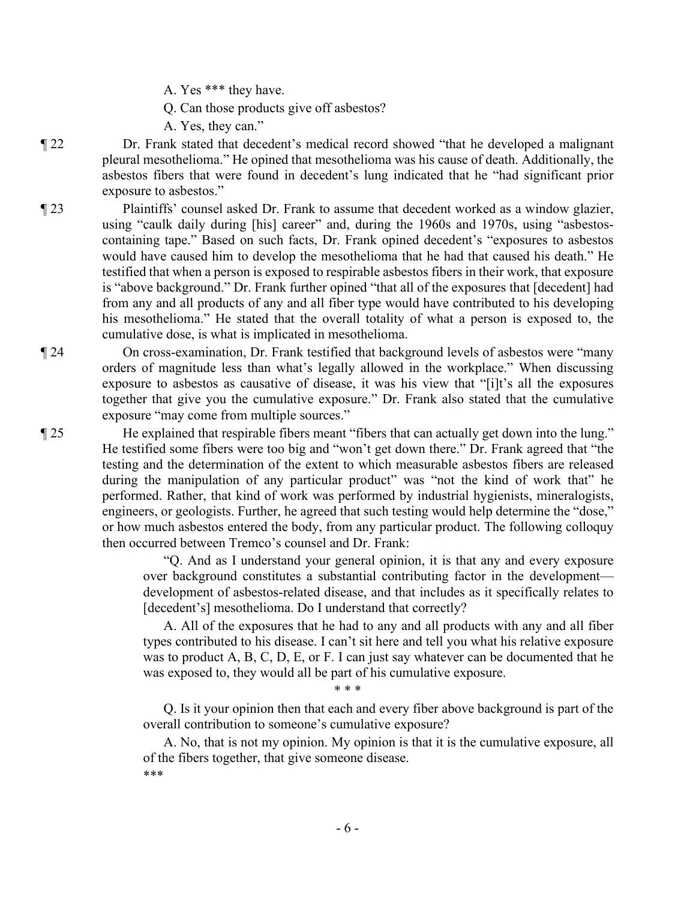A. Yes \*\*\* they have.

Q. Can those products give off asbestos?

A. Yes, they can."

¶ 22 Dr. Frank stated that decedent's medical record showed "that he developed a malignant pleural mesothelioma." He opined that mesothelioma was his cause of death. Additionally, the asbestos fibers that were found in decedent's lung indicated that he "had significant prior exposure to asbestos."

¶ 23 Plaintiffs' counsel asked Dr. Frank to assume that decedent worked as a window glazier, using "caulk daily during [his] career" and, during the 1960s and 1970s, using "asbestoscontaining tape." Based on such facts, Dr. Frank opined decedent's "exposures to asbestos would have caused him to develop the mesothelioma that he had that caused his death." He testified that when a person is exposed to respirable asbestos fibers in their work, that exposure is "above background." Dr. Frank further opined "that all of the exposures that [decedent] had from any and all products of any and all fiber type would have contributed to his developing his mesothelioma." He stated that the overall totality of what a person is exposed to, the cumulative dose, is what is implicated in mesothelioma.

- ¶ 24 On cross-examination, Dr. Frank testified that background levels of asbestos were "many orders of magnitude less than what's legally allowed in the workplace." When discussing exposure to asbestos as causative of disease, it was his view that "[i]t's all the exposures together that give you the cumulative exposure." Dr. Frank also stated that the cumulative exposure "may come from multiple sources."
- ¶ 25 He explained that respirable fibers meant "fibers that can actually get down into the lung." He testified some fibers were too big and "won't get down there." Dr. Frank agreed that "the testing and the determination of the extent to which measurable asbestos fibers are released during the manipulation of any particular product" was "not the kind of work that" he performed. Rather, that kind of work was performed by industrial hygienists, mineralogists, engineers, or geologists. Further, he agreed that such testing would help determine the "dose," or how much asbestos entered the body, from any particular product. The following colloquy then occurred between Tremco's counsel and Dr. Frank:

"Q. And as I understand your general opinion, it is that any and every exposure over background constitutes a substantial contributing factor in the development development of asbestos-related disease, and that includes as it specifically relates to [decedent's] mesothelioma. Do I understand that correctly?

A. All of the exposures that he had to any and all products with any and all fiber types contributed to his disease. I can't sit here and tell you what his relative exposure was to product A, B, C, D, E, or F. I can just say whatever can be documented that he was exposed to, they would all be part of his cumulative exposure.

\* \* \*

Q. Is it your opinion then that each and every fiber above background is part of the overall contribution to someone's cumulative exposure?

A. No, that is not my opinion. My opinion is that it is the cumulative exposure, all of the fibers together, that give someone disease. \*\*\*

- 6 -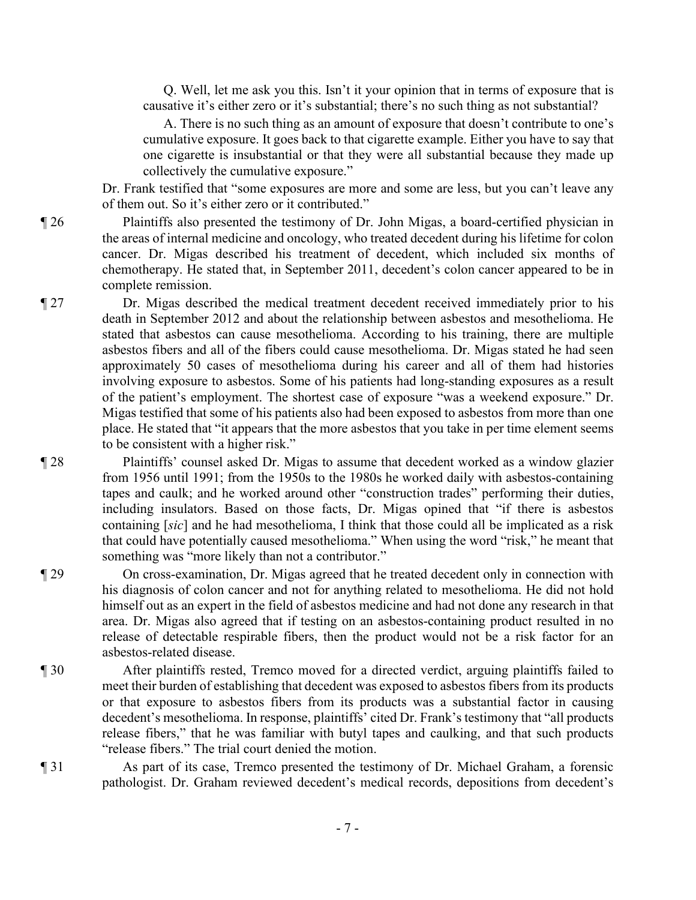Q. Well, let me ask you this. Isn't it your opinion that in terms of exposure that is causative it's either zero or it's substantial; there's no such thing as not substantial?

A. There is no such thing as an amount of exposure that doesn't contribute to one's cumulative exposure. It goes back to that cigarette example. Either you have to say that one cigarette is insubstantial or that they were all substantial because they made up collectively the cumulative exposure."

Dr. Frank testified that "some exposures are more and some are less, but you can't leave any of them out. So it's either zero or it contributed."

¶ 26 Plaintiffs also presented the testimony of Dr. John Migas, a board-certified physician in the areas of internal medicine and oncology, who treated decedent during his lifetime for colon cancer. Dr. Migas described his treatment of decedent, which included six months of chemotherapy. He stated that, in September 2011, decedent's colon cancer appeared to be in complete remission.

¶ 27 Dr. Migas described the medical treatment decedent received immediately prior to his death in September 2012 and about the relationship between asbestos and mesothelioma. He stated that asbestos can cause mesothelioma. According to his training, there are multiple asbestos fibers and all of the fibers could cause mesothelioma. Dr. Migas stated he had seen approximately 50 cases of mesothelioma during his career and all of them had histories involving exposure to asbestos. Some of his patients had long-standing exposures as a result of the patient's employment. The shortest case of exposure "was a weekend exposure." Dr. Migas testified that some of his patients also had been exposed to asbestos from more than one place. He stated that "it appears that the more asbestos that you take in per time element seems to be consistent with a higher risk."

¶ 28 Plaintiffs' counsel asked Dr. Migas to assume that decedent worked as a window glazier from 1956 until 1991; from the 1950s to the 1980s he worked daily with asbestos-containing tapes and caulk; and he worked around other "construction trades" performing their duties, including insulators. Based on those facts, Dr. Migas opined that "if there is asbestos containing [*sic*] and he had mesothelioma, I think that those could all be implicated as a risk that could have potentially caused mesothelioma." When using the word "risk," he meant that something was "more likely than not a contributor."

¶ 29 On cross-examination, Dr. Migas agreed that he treated decedent only in connection with his diagnosis of colon cancer and not for anything related to mesothelioma. He did not hold himself out as an expert in the field of asbestos medicine and had not done any research in that area. Dr. Migas also agreed that if testing on an asbestos-containing product resulted in no release of detectable respirable fibers, then the product would not be a risk factor for an asbestos-related disease.

- ¶ 30 After plaintiffs rested, Tremco moved for a directed verdict, arguing plaintiffs failed to meet their burden of establishing that decedent was exposed to asbestos fibers from its products or that exposure to asbestos fibers from its products was a substantial factor in causing decedent's mesothelioma. In response, plaintiffs' cited Dr. Frank's testimony that "all products release fibers," that he was familiar with butyl tapes and caulking, and that such products "release fibers." The trial court denied the motion.
- ¶ 31 As part of its case, Tremco presented the testimony of Dr. Michael Graham, a forensic pathologist. Dr. Graham reviewed decedent's medical records, depositions from decedent's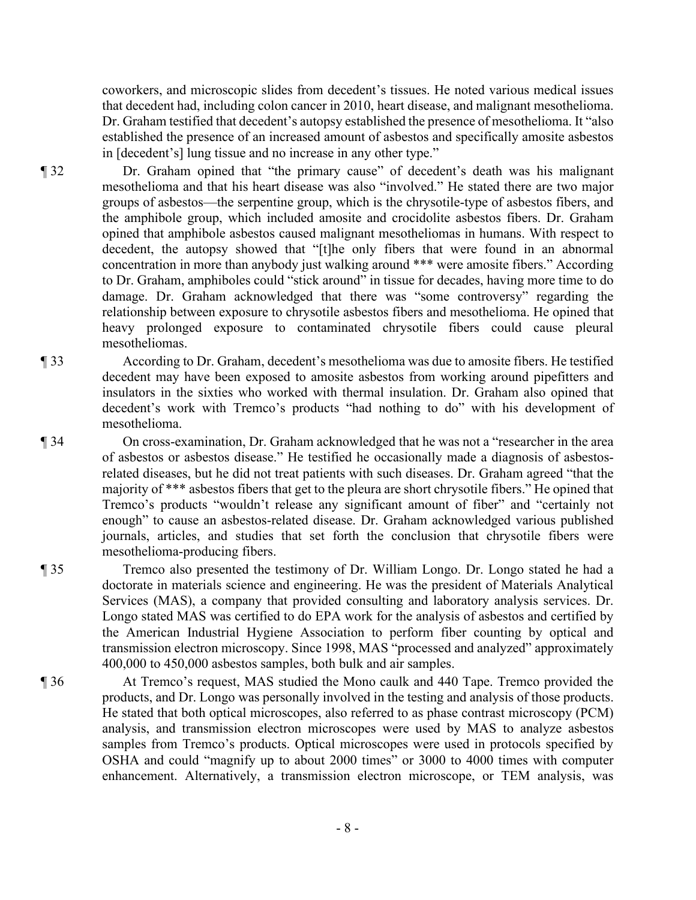coworkers, and microscopic slides from decedent's tissues. He noted various medical issues that decedent had, including colon cancer in 2010, heart disease, and malignant mesothelioma. Dr. Graham testified that decedent's autopsy established the presence of mesothelioma. It "also established the presence of an increased amount of asbestos and specifically amosite asbestos in [decedent's] lung tissue and no increase in any other type."

¶ 32 Dr. Graham opined that "the primary cause" of decedent's death was his malignant mesothelioma and that his heart disease was also "involved." He stated there are two major groups of asbestos—the serpentine group, which is the chrysotile-type of asbestos fibers, and the amphibole group, which included amosite and crocidolite asbestos fibers. Dr. Graham opined that amphibole asbestos caused malignant mesotheliomas in humans. With respect to decedent, the autopsy showed that "[t]he only fibers that were found in an abnormal concentration in more than anybody just walking around \*\*\* were amosite fibers." According to Dr. Graham, amphiboles could "stick around" in tissue for decades, having more time to do damage. Dr. Graham acknowledged that there was "some controversy" regarding the relationship between exposure to chrysotile asbestos fibers and mesothelioma. He opined that heavy prolonged exposure to contaminated chrysotile fibers could cause pleural mesotheliomas.

- ¶ 33 According to Dr. Graham, decedent's mesothelioma was due to amosite fibers. He testified decedent may have been exposed to amosite asbestos from working around pipefitters and insulators in the sixties who worked with thermal insulation. Dr. Graham also opined that decedent's work with Tremco's products "had nothing to do" with his development of mesothelioma.
- ¶ 34 On cross-examination, Dr. Graham acknowledged that he was not a "researcher in the area of asbestos or asbestos disease." He testified he occasionally made a diagnosis of asbestosrelated diseases, but he did not treat patients with such diseases. Dr. Graham agreed "that the majority of \*\*\* asbestos fibers that get to the pleura are short chrysotile fibers." He opined that Tremco's products "wouldn't release any significant amount of fiber" and "certainly not enough" to cause an asbestos-related disease. Dr. Graham acknowledged various published journals, articles, and studies that set forth the conclusion that chrysotile fibers were mesothelioma-producing fibers.
- ¶ 35 Tremco also presented the testimony of Dr. William Longo. Dr. Longo stated he had a doctorate in materials science and engineering. He was the president of Materials Analytical Services (MAS), a company that provided consulting and laboratory analysis services. Dr. Longo stated MAS was certified to do EPA work for the analysis of asbestos and certified by the American Industrial Hygiene Association to perform fiber counting by optical and transmission electron microscopy. Since 1998, MAS "processed and analyzed" approximately 400,000 to 450,000 asbestos samples, both bulk and air samples.
- ¶ 36 At Tremco's request, MAS studied the Mono caulk and 440 Tape. Tremco provided the products, and Dr. Longo was personally involved in the testing and analysis of those products. He stated that both optical microscopes, also referred to as phase contrast microscopy (PCM) analysis, and transmission electron microscopes were used by MAS to analyze asbestos samples from Tremco's products. Optical microscopes were used in protocols specified by OSHA and could "magnify up to about 2000 times" or 3000 to 4000 times with computer enhancement. Alternatively, a transmission electron microscope, or TEM analysis, was
	- 8 -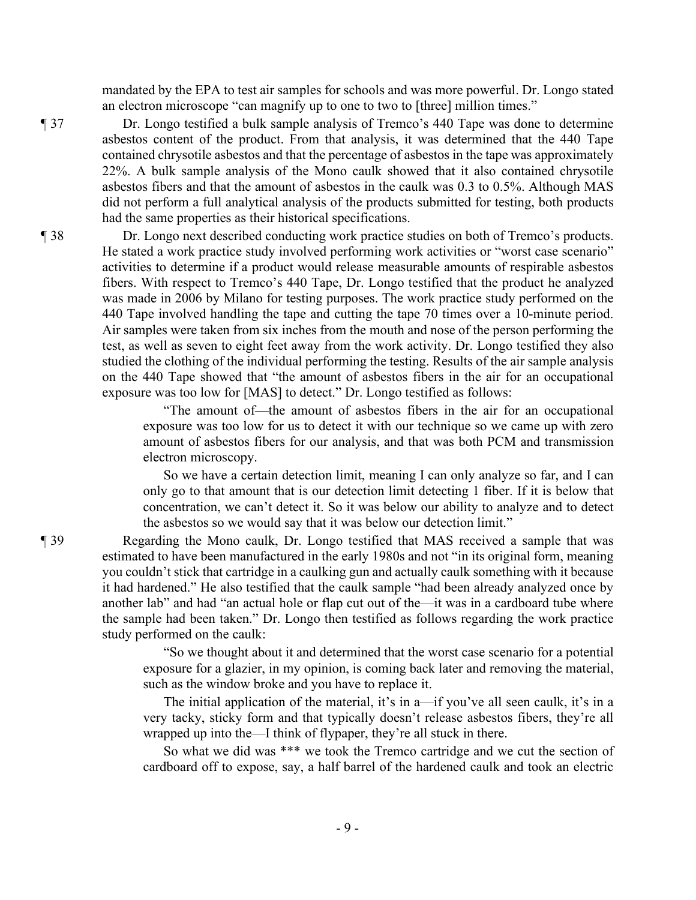mandated by the EPA to test air samples for schools and was more powerful. Dr. Longo stated an electron microscope "can magnify up to one to two to [three] million times."

¶ 37 Dr. Longo testified a bulk sample analysis of Tremco's 440 Tape was done to determine asbestos content of the product. From that analysis, it was determined that the 440 Tape contained chrysotile asbestos and that the percentage of asbestos in the tape was approximately 22%. A bulk sample analysis of the Mono caulk showed that it also contained chrysotile asbestos fibers and that the amount of asbestos in the caulk was 0.3 to 0.5%. Although MAS did not perform a full analytical analysis of the products submitted for testing, both products had the same properties as their historical specifications.

¶ 38 Dr. Longo next described conducting work practice studies on both of Tremco's products. He stated a work practice study involved performing work activities or "worst case scenario" activities to determine if a product would release measurable amounts of respirable asbestos fibers. With respect to Tremco's 440 Tape, Dr. Longo testified that the product he analyzed was made in 2006 by Milano for testing purposes. The work practice study performed on the 440 Tape involved handling the tape and cutting the tape 70 times over a 10-minute period. Air samples were taken from six inches from the mouth and nose of the person performing the test, as well as seven to eight feet away from the work activity. Dr. Longo testified they also studied the clothing of the individual performing the testing. Results of the air sample analysis on the 440 Tape showed that "the amount of asbestos fibers in the air for an occupational exposure was too low for [MAS] to detect." Dr. Longo testified as follows:

> "The amount of—the amount of asbestos fibers in the air for an occupational exposure was too low for us to detect it with our technique so we came up with zero amount of asbestos fibers for our analysis, and that was both PCM and transmission electron microscopy.

> So we have a certain detection limit, meaning I can only analyze so far, and I can only go to that amount that is our detection limit detecting 1 fiber. If it is below that concentration, we can't detect it. So it was below our ability to analyze and to detect the asbestos so we would say that it was below our detection limit."

¶ 39 Regarding the Mono caulk, Dr. Longo testified that MAS received a sample that was estimated to have been manufactured in the early 1980s and not "in its original form, meaning you couldn't stick that cartridge in a caulking gun and actually caulk something with it because it had hardened." He also testified that the caulk sample "had been already analyzed once by another lab" and had "an actual hole or flap cut out of the—it was in a cardboard tube where the sample had been taken." Dr. Longo then testified as follows regarding the work practice study performed on the caulk:

> "So we thought about it and determined that the worst case scenario for a potential exposure for a glazier, in my opinion, is coming back later and removing the material, such as the window broke and you have to replace it.

> The initial application of the material, it's in a—if you've all seen caulk, it's in a very tacky, sticky form and that typically doesn't release asbestos fibers, they're all wrapped up into the—I think of flypaper, they're all stuck in there.

> So what we did was \*\*\* we took the Tremco cartridge and we cut the section of cardboard off to expose, say, a half barrel of the hardened caulk and took an electric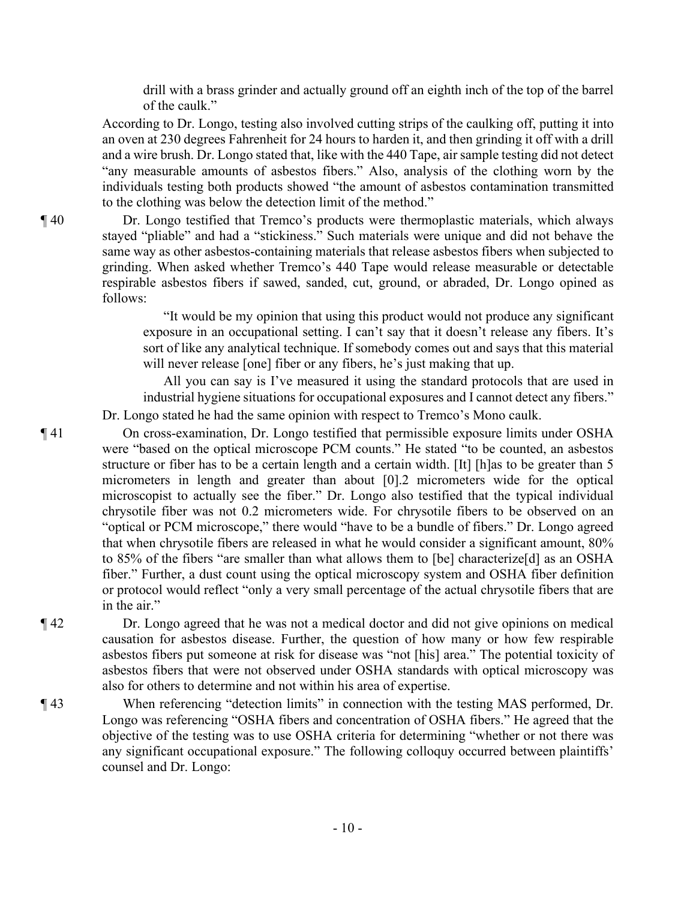drill with a brass grinder and actually ground off an eighth inch of the top of the barrel of the caulk."

According to Dr. Longo, testing also involved cutting strips of the caulking off, putting it into an oven at 230 degrees Fahrenheit for 24 hours to harden it, and then grinding it off with a drill and a wire brush. Dr. Longo stated that, like with the 440 Tape, air sample testing did not detect "any measurable amounts of asbestos fibers." Also, analysis of the clothing worn by the individuals testing both products showed "the amount of asbestos contamination transmitted to the clothing was below the detection limit of the method."

¶ 40 Dr. Longo testified that Tremco's products were thermoplastic materials, which always stayed "pliable" and had a "stickiness." Such materials were unique and did not behave the same way as other asbestos-containing materials that release asbestos fibers when subjected to grinding. When asked whether Tremco's 440 Tape would release measurable or detectable respirable asbestos fibers if sawed, sanded, cut, ground, or abraded, Dr. Longo opined as follows:

> "It would be my opinion that using this product would not produce any significant exposure in an occupational setting. I can't say that it doesn't release any fibers. It's sort of like any analytical technique. If somebody comes out and says that this material will never release [one] fiber or any fibers, he's just making that up.

All you can say is I've measured it using the standard protocols that are used in industrial hygiene situations for occupational exposures and I cannot detect any fibers."

Dr. Longo stated he had the same opinion with respect to Tremco's Mono caulk.

¶ 41 On cross-examination, Dr. Longo testified that permissible exposure limits under OSHA were "based on the optical microscope PCM counts." He stated "to be counted, an asbestos structure or fiber has to be a certain length and a certain width. [It] [h]as to be greater than 5 micrometers in length and greater than about [0].2 micrometers wide for the optical microscopist to actually see the fiber." Dr. Longo also testified that the typical individual chrysotile fiber was not 0.2 micrometers wide. For chrysotile fibers to be observed on an "optical or PCM microscope," there would "have to be a bundle of fibers." Dr. Longo agreed that when chrysotile fibers are released in what he would consider a significant amount, 80% to 85% of the fibers "are smaller than what allows them to [be] characterize[d] as an OSHA fiber." Further, a dust count using the optical microscopy system and OSHA fiber definition or protocol would reflect "only a very small percentage of the actual chrysotile fibers that are in the air."

¶ 42 Dr. Longo agreed that he was not a medical doctor and did not give opinions on medical causation for asbestos disease. Further, the question of how many or how few respirable asbestos fibers put someone at risk for disease was "not [his] area." The potential toxicity of asbestos fibers that were not observed under OSHA standards with optical microscopy was also for others to determine and not within his area of expertise.

¶ 43 When referencing "detection limits" in connection with the testing MAS performed, Dr. Longo was referencing "OSHA fibers and concentration of OSHA fibers." He agreed that the objective of the testing was to use OSHA criteria for determining "whether or not there was any significant occupational exposure." The following colloquy occurred between plaintiffs' counsel and Dr. Longo: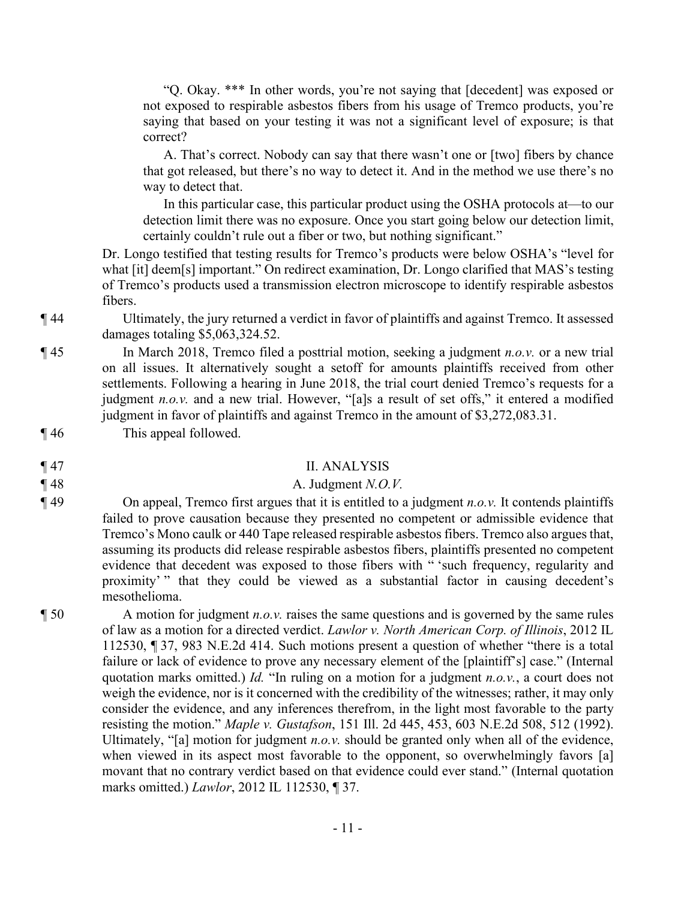"Q. Okay. \*\*\* In other words, you're not saying that [decedent] was exposed or not exposed to respirable asbestos fibers from his usage of Tremco products, you're saying that based on your testing it was not a significant level of exposure; is that correct?

A. That's correct. Nobody can say that there wasn't one or [two] fibers by chance that got released, but there's no way to detect it. And in the method we use there's no way to detect that.

In this particular case, this particular product using the OSHA protocols at—to our detection limit there was no exposure. Once you start going below our detection limit, certainly couldn't rule out a fiber or two, but nothing significant."

Dr. Longo testified that testing results for Tremco's products were below OSHA's "level for what [it] deem[s] important." On redirect examination, Dr. Longo clarified that MAS's testing of Tremco's products used a transmission electron microscope to identify respirable asbestos fibers.

¶ 44 Ultimately, the jury returned a verdict in favor of plaintiffs and against Tremco. It assessed damages totaling \$5,063,324.52.

¶ 45 In March 2018, Tremco filed a posttrial motion, seeking a judgment *n.o.v.* or a new trial on all issues. It alternatively sought a setoff for amounts plaintiffs received from other settlements. Following a hearing in June 2018, the trial court denied Tremco's requests for a judgment *n.o.v.* and a new trial. However, "[a]s a result of set offs," it entered a modified judgment in favor of plaintiffs and against Tremco in the amount of \$3,272,083.31.

¶ 46 This appeal followed.

¶ 47 II. ANALYSIS

#### $\parallel$  48  $\parallel$  48  $\parallel$  48

¶ 49 On appeal, Tremco first argues that it is entitled to a judgment *n.o.v.* It contends plaintiffs failed to prove causation because they presented no competent or admissible evidence that Tremco's Mono caulk or 440 Tape released respirable asbestos fibers. Tremco also argues that, assuming its products did release respirable asbestos fibers, plaintiffs presented no competent evidence that decedent was exposed to those fibers with " 'such frequency, regularity and proximity' " that they could be viewed as a substantial factor in causing decedent's mesothelioma.

¶ 50 A motion for judgment *n.o.v.* raises the same questions and is governed by the same rules of law as a motion for a directed verdict. *Lawlor v. North American Corp. of Illinois*, 2012 IL 112530, ¶ 37, 983 N.E.2d 414. Such motions present a question of whether "there is a total failure or lack of evidence to prove any necessary element of the [plaintiff's] case." (Internal quotation marks omitted.) *Id.* "In ruling on a motion for a judgment *n.o.v.*, a court does not weigh the evidence, nor is it concerned with the credibility of the witnesses; rather, it may only consider the evidence, and any inferences therefrom, in the light most favorable to the party resisting the motion." *Maple v. Gustafson*, 151 Ill. 2d 445, 453, 603 N.E.2d 508, 512 (1992). Ultimately, "[a] motion for judgment *n.o.v.* should be granted only when all of the evidence, when viewed in its aspect most favorable to the opponent, so overwhelmingly favors [a] movant that no contrary verdict based on that evidence could ever stand." (Internal quotation marks omitted.) *Lawlor*, 2012 IL 112530, ¶ 37.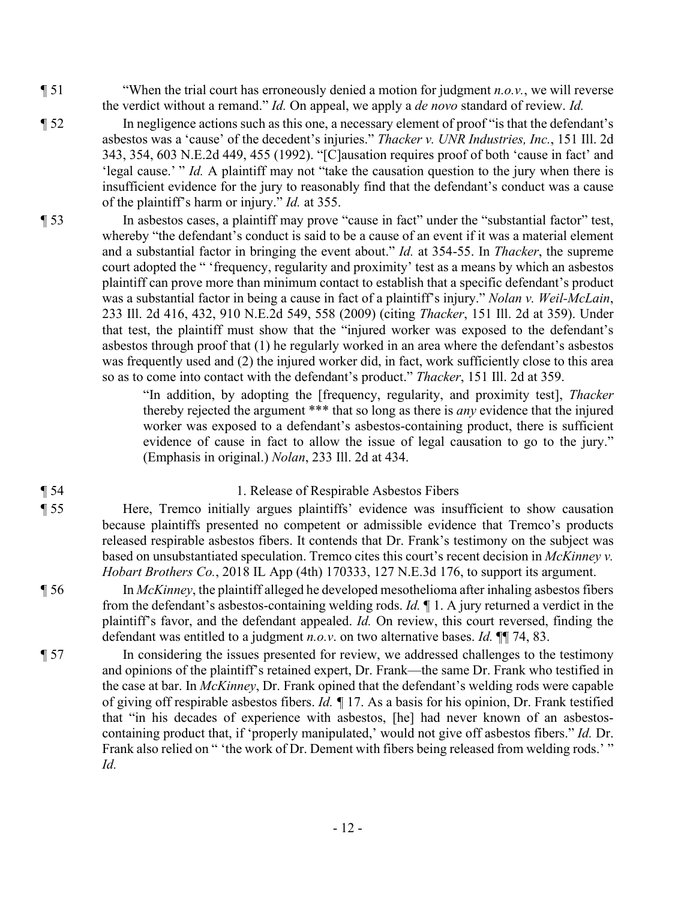- ¶ 51 "When the trial court has erroneously denied a motion for judgment *n.o.v.*, we will reverse the verdict without a remand." *Id.* On appeal, we apply a *de novo* standard of review. *Id.*
- ¶ 52 In negligence actions such as this one, a necessary element of proof "is that the defendant's asbestos was a 'cause' of the decedent's injuries." *Thacker v. UNR Industries, Inc.*, 151 Ill. 2d 343, 354, 603 N.E.2d 449, 455 (1992). "[C]ausation requires proof of both 'cause in fact' and 'legal cause.' " *Id.* A plaintiff may not "take the causation question to the jury when there is insufficient evidence for the jury to reasonably find that the defendant's conduct was a cause of the plaintiff's harm or injury." *Id.* at 355.
- ¶ 53 In asbestos cases, a plaintiff may prove "cause in fact" under the "substantial factor" test, whereby "the defendant's conduct is said to be a cause of an event if it was a material element and a substantial factor in bringing the event about." *Id.* at 354-55. In *Thacker*, the supreme court adopted the " 'frequency, regularity and proximity' test as a means by which an asbestos plaintiff can prove more than minimum contact to establish that a specific defendant's product was a substantial factor in being a cause in fact of a plaintiff's injury." *Nolan v. Weil-McLain*, 233 Ill. 2d 416, 432, 910 N.E.2d 549, 558 (2009) (citing *Thacker*, 151 Ill. 2d at 359). Under that test, the plaintiff must show that the "injured worker was exposed to the defendant's asbestos through proof that (1) he regularly worked in an area where the defendant's asbestos was frequently used and (2) the injured worker did, in fact, work sufficiently close to this area so as to come into contact with the defendant's product." *Thacker*, 151 Ill. 2d at 359.

"In addition, by adopting the [frequency, regularity, and proximity test], *Thacker* thereby rejected the argument \*\*\* that so long as there is *any* evidence that the injured worker was exposed to a defendant's asbestos-containing product, there is sufficient evidence of cause in fact to allow the issue of legal causation to go to the jury." (Emphasis in original.) *Nolan*, 233 Ill. 2d at 434.

- 
- 

### ¶ 54 1. Release of Respirable Asbestos Fibers

¶ 55 Here, Tremco initially argues plaintiffs' evidence was insufficient to show causation because plaintiffs presented no competent or admissible evidence that Tremco's products released respirable asbestos fibers. It contends that Dr. Frank's testimony on the subject was based on unsubstantiated speculation. Tremco cites this court's recent decision in *McKinney v. Hobart Brothers Co.*, 2018 IL App (4th) 170333, 127 N.E.3d 176, to support its argument.

- ¶ 56 In *McKinney*, the plaintiff alleged he developed mesothelioma after inhaling asbestos fibers from the defendant's asbestos-containing welding rods. *Id.* ¶ 1. A jury returned a verdict in the plaintiff's favor, and the defendant appealed. *Id.* On review, this court reversed, finding the defendant was entitled to a judgment *n.o.v*. on two alternative bases. *Id.* ¶¶ 74, 83.
- ¶ 57 In considering the issues presented for review, we addressed challenges to the testimony and opinions of the plaintiff's retained expert, Dr. Frank—the same Dr. Frank who testified in the case at bar. In *McKinney*, Dr. Frank opined that the defendant's welding rods were capable of giving off respirable asbestos fibers. *Id. ¶* 17. As a basis for his opinion, Dr. Frank testified that "in his decades of experience with asbestos, [he] had never known of an asbestoscontaining product that, if 'properly manipulated,' would not give off asbestos fibers." *Id.* Dr. Frank also relied on " 'the work of Dr. Dement with fibers being released from welding rods.' " *Id.*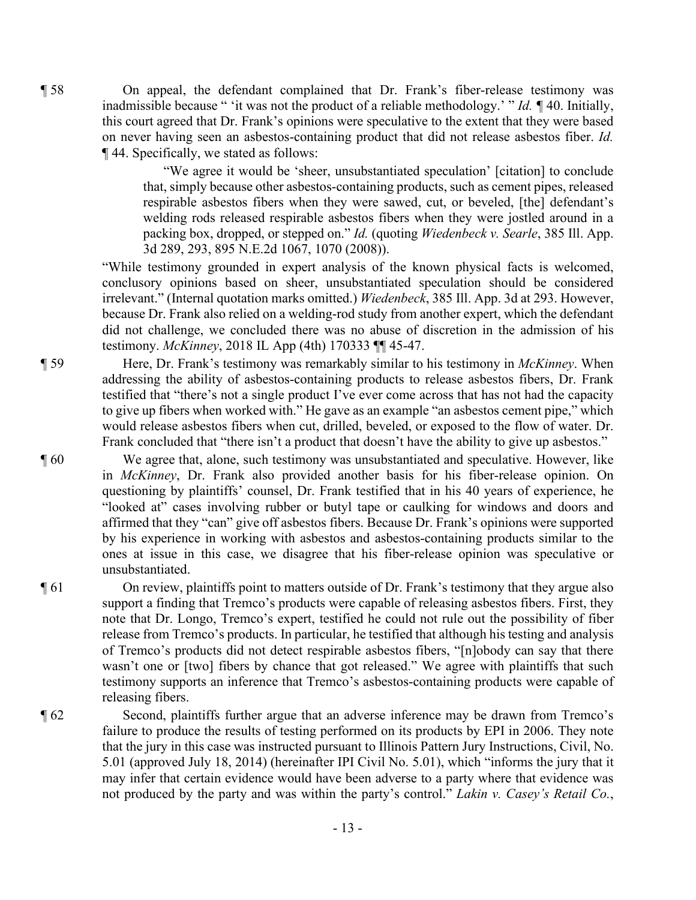¶ 58 On appeal, the defendant complained that Dr. Frank's fiber-release testimony was inadmissible because " 'it was not the product of a reliable methodology.' " *Id. ¶* 40. Initially, this court agreed that Dr. Frank's opinions were speculative to the extent that they were based on never having seen an asbestos-containing product that did not release asbestos fiber. *Id.* ¶ 44. Specifically, we stated as follows:

> "We agree it would be 'sheer, unsubstantiated speculation' [citation] to conclude that, simply because other asbestos-containing products, such as cement pipes, released respirable asbestos fibers when they were sawed, cut, or beveled, [the] defendant's welding rods released respirable asbestos fibers when they were jostled around in a packing box, dropped, or stepped on." *Id.* (quoting *Wiedenbeck v. Searle*, 385 Ill. App. 3d 289, 293, 895 N.E.2d 1067, 1070 (2008)).

"While testimony grounded in expert analysis of the known physical facts is welcomed, conclusory opinions based on sheer, unsubstantiated speculation should be considered irrelevant." (Internal quotation marks omitted.) *Wiedenbeck*, 385 Ill. App. 3d at 293. However, because Dr. Frank also relied on a welding-rod study from another expert, which the defendant did not challenge, we concluded there was no abuse of discretion in the admission of his testimony. *McKinney*, 2018 IL App (4th) 170333 ¶¶ 45-47.

¶ 59 Here, Dr. Frank's testimony was remarkably similar to his testimony in *McKinney*. When addressing the ability of asbestos-containing products to release asbestos fibers, Dr. Frank testified that "there's not a single product I've ever come across that has not had the capacity to give up fibers when worked with." He gave as an example "an asbestos cement pipe," which would release asbestos fibers when cut, drilled, beveled, or exposed to the flow of water. Dr. Frank concluded that "there isn't a product that doesn't have the ability to give up asbestos."

¶ 60 We agree that, alone, such testimony was unsubstantiated and speculative. However, like in *McKinney*, Dr. Frank also provided another basis for his fiber-release opinion. On questioning by plaintiffs' counsel, Dr. Frank testified that in his 40 years of experience, he "looked at" cases involving rubber or butyl tape or caulking for windows and doors and affirmed that they "can" give off asbestos fibers. Because Dr. Frank's opinions were supported by his experience in working with asbestos and asbestos-containing products similar to the ones at issue in this case, we disagree that his fiber-release opinion was speculative or unsubstantiated.

¶ 61 On review, plaintiffs point to matters outside of Dr. Frank's testimony that they argue also support a finding that Tremco's products were capable of releasing asbestos fibers. First, they note that Dr. Longo, Tremco's expert, testified he could not rule out the possibility of fiber release from Tremco's products. In particular, he testified that although his testing and analysis of Tremco's products did not detect respirable asbestos fibers, "[n]obody can say that there wasn't one or [two] fibers by chance that got released." We agree with plaintiffs that such testimony supports an inference that Tremco's asbestos-containing products were capable of releasing fibers.

¶ 62 Second, plaintiffs further argue that an adverse inference may be drawn from Tremco's failure to produce the results of testing performed on its products by EPI in 2006. They note that the jury in this case was instructed pursuant to Illinois Pattern Jury Instructions, Civil, No. 5.01 (approved July 18, 2014) (hereinafter IPI Civil No. 5.01), which "informs the jury that it may infer that certain evidence would have been adverse to a party where that evidence was not produced by the party and was within the party's control." *Lakin v. Casey's Retail Co.*,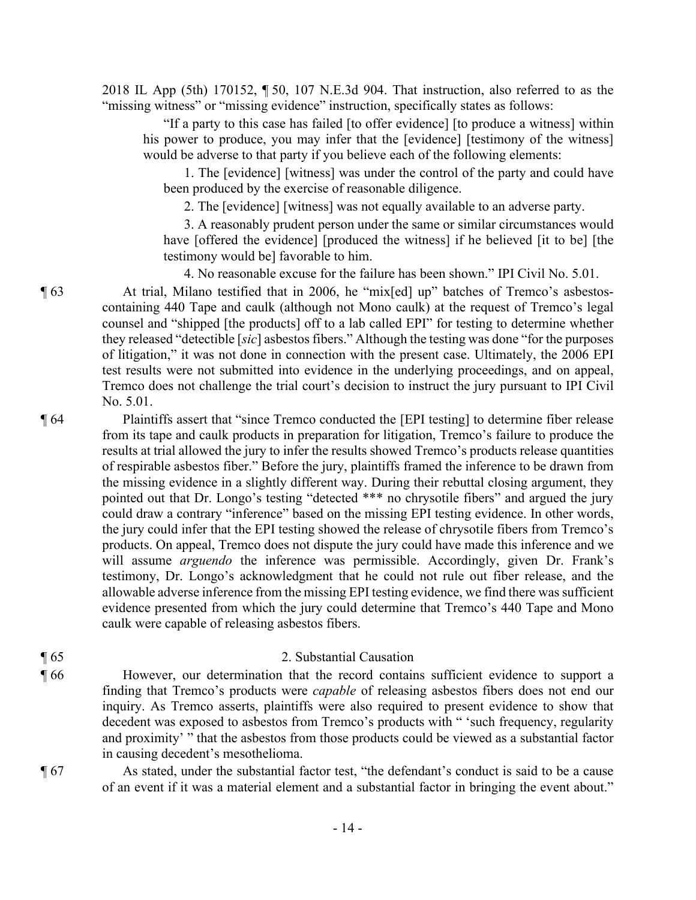2018 IL App (5th) 170152, ¶ 50, 107 N.E.3d 904. That instruction, also referred to as the "missing witness" or "missing evidence" instruction, specifically states as follows:

"If a party to this case has failed [to offer evidence] [to produce a witness] within his power to produce, you may infer that the [evidence] [testimony of the witness] would be adverse to that party if you believe each of the following elements:

1. The [evidence] [witness] was under the control of the party and could have been produced by the exercise of reasonable diligence.

2. The [evidence] [witness] was not equally available to an adverse party.

3. A reasonably prudent person under the same or similar circumstances would have [offered the evidence] [produced the witness] if he believed [it to be] [the testimony would be] favorable to him.

4. No reasonable excuse for the failure has been shown." IPI Civil No. 5.01.

¶ 63 At trial, Milano testified that in 2006, he "mix[ed] up" batches of Tremco's asbestoscontaining 440 Tape and caulk (although not Mono caulk) at the request of Tremco's legal counsel and "shipped [the products] off to a lab called EPI" for testing to determine whether they released "detectible [*sic*] asbestos fibers." Although the testing was done "for the purposes of litigation," it was not done in connection with the present case. Ultimately, the 2006 EPI test results were not submitted into evidence in the underlying proceedings, and on appeal, Tremco does not challenge the trial court's decision to instruct the jury pursuant to IPI Civil No. 5.01.

¶ 64 Plaintiffs assert that "since Tremco conducted the [EPI testing] to determine fiber release from its tape and caulk products in preparation for litigation, Tremco's failure to produce the results at trial allowed the jury to infer the results showed Tremco's products release quantities of respirable asbestos fiber." Before the jury, plaintiffs framed the inference to be drawn from the missing evidence in a slightly different way. During their rebuttal closing argument, they pointed out that Dr. Longo's testing "detected \*\*\* no chrysotile fibers" and argued the jury could draw a contrary "inference" based on the missing EPI testing evidence. In other words, the jury could infer that the EPI testing showed the release of chrysotile fibers from Tremco's products. On appeal, Tremco does not dispute the jury could have made this inference and we will assume *arguendo* the inference was permissible. Accordingly, given Dr. Frank's testimony, Dr. Longo's acknowledgment that he could not rule out fiber release, and the allowable adverse inference from the missing EPI testing evidence, we find there was sufficient evidence presented from which the jury could determine that Tremco's 440 Tape and Mono caulk were capable of releasing asbestos fibers.

### ¶ 65 2. Substantial Causation

¶ 66 However, our determination that the record contains sufficient evidence to support a finding that Tremco's products were *capable* of releasing asbestos fibers does not end our inquiry. As Tremco asserts, plaintiffs were also required to present evidence to show that decedent was exposed to asbestos from Tremco's products with " 'such frequency, regularity and proximity' " that the asbestos from those products could be viewed as a substantial factor in causing decedent's mesothelioma.

¶ 67 As stated, under the substantial factor test, "the defendant's conduct is said to be a cause of an event if it was a material element and a substantial factor in bringing the event about."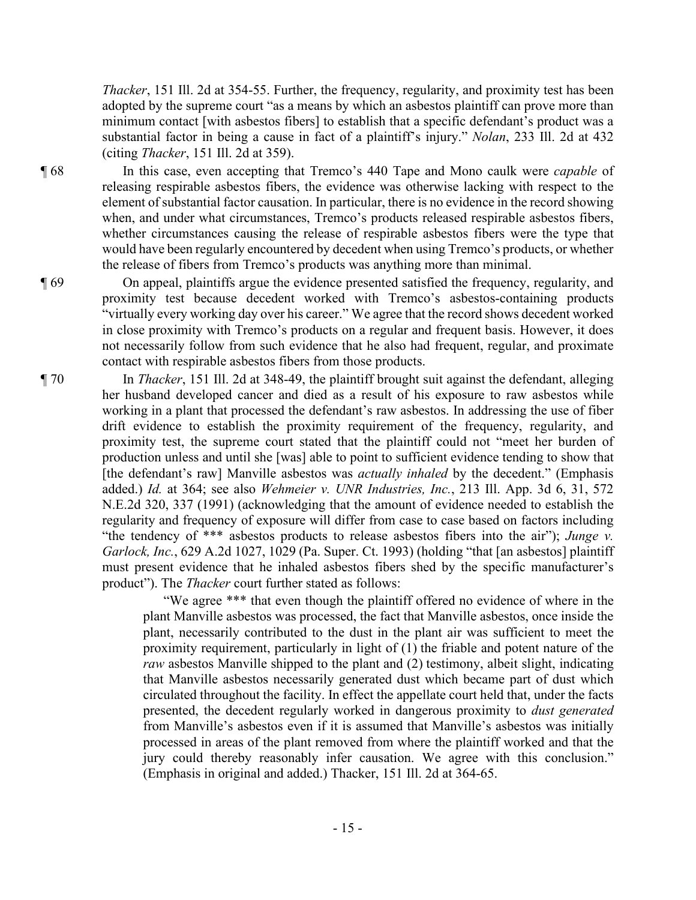*Thacker*, 151 Ill. 2d at 354-55. Further, the frequency, regularity, and proximity test has been adopted by the supreme court "as a means by which an asbestos plaintiff can prove more than minimum contact [with asbestos fibers] to establish that a specific defendant's product was a substantial factor in being a cause in fact of a plaintiff's injury." *Nolan*, 233 Ill. 2d at 432 (citing *Thacker*, 151 Ill. 2d at 359).

¶ 68 In this case, even accepting that Tremco's 440 Tape and Mono caulk were *capable* of releasing respirable asbestos fibers, the evidence was otherwise lacking with respect to the element of substantial factor causation. In particular, there is no evidence in the record showing when, and under what circumstances, Tremco's products released respirable asbestos fibers, whether circumstances causing the release of respirable asbestos fibers were the type that would have been regularly encountered by decedent when using Tremco's products, or whether the release of fibers from Tremco's products was anything more than minimal.

¶ 69 On appeal, plaintiffs argue the evidence presented satisfied the frequency, regularity, and proximity test because decedent worked with Tremco's asbestos-containing products "virtually every working day over his career." We agree that the record shows decedent worked in close proximity with Tremco's products on a regular and frequent basis. However, it does not necessarily follow from such evidence that he also had frequent, regular, and proximate contact with respirable asbestos fibers from those products.

¶ 70 In *Thacker*, 151 Ill. 2d at 348-49, the plaintiff brought suit against the defendant, alleging her husband developed cancer and died as a result of his exposure to raw asbestos while working in a plant that processed the defendant's raw asbestos. In addressing the use of fiber drift evidence to establish the proximity requirement of the frequency, regularity, and proximity test, the supreme court stated that the plaintiff could not "meet her burden of production unless and until she [was] able to point to sufficient evidence tending to show that [the defendant's raw] Manville asbestos was *actually inhaled* by the decedent." (Emphasis added.) *Id.* at 364; see also *Wehmeier v. UNR Industries, Inc.*, 213 Ill. App. 3d 6, 31, 572 N.E.2d 320, 337 (1991) (acknowledging that the amount of evidence needed to establish the regularity and frequency of exposure will differ from case to case based on factors including "the tendency of \*\*\* asbestos products to release asbestos fibers into the air"); *Junge v. Garlock, Inc.*, 629 A.2d 1027, 1029 (Pa. Super. Ct. 1993) (holding "that [an asbestos] plaintiff must present evidence that he inhaled asbestos fibers shed by the specific manufacturer's product"). The *Thacker* court further stated as follows:

> "We agree \*\*\* that even though the plaintiff offered no evidence of where in the plant Manville asbestos was processed, the fact that Manville asbestos, once inside the plant, necessarily contributed to the dust in the plant air was sufficient to meet the proximity requirement, particularly in light of (1) the friable and potent nature of the *raw* asbestos Manville shipped to the plant and (2) testimony, albeit slight, indicating that Manville asbestos necessarily generated dust which became part of dust which circulated throughout the facility. In effect the appellate court held that, under the facts presented, the decedent regularly worked in dangerous proximity to *dust generated* from Manville's asbestos even if it is assumed that Manville's asbestos was initially processed in areas of the plant removed from where the plaintiff worked and that the jury could thereby reasonably infer causation. We agree with this conclusion." (Emphasis in original and added.) Thacker, 151 Ill. 2d at 364-65.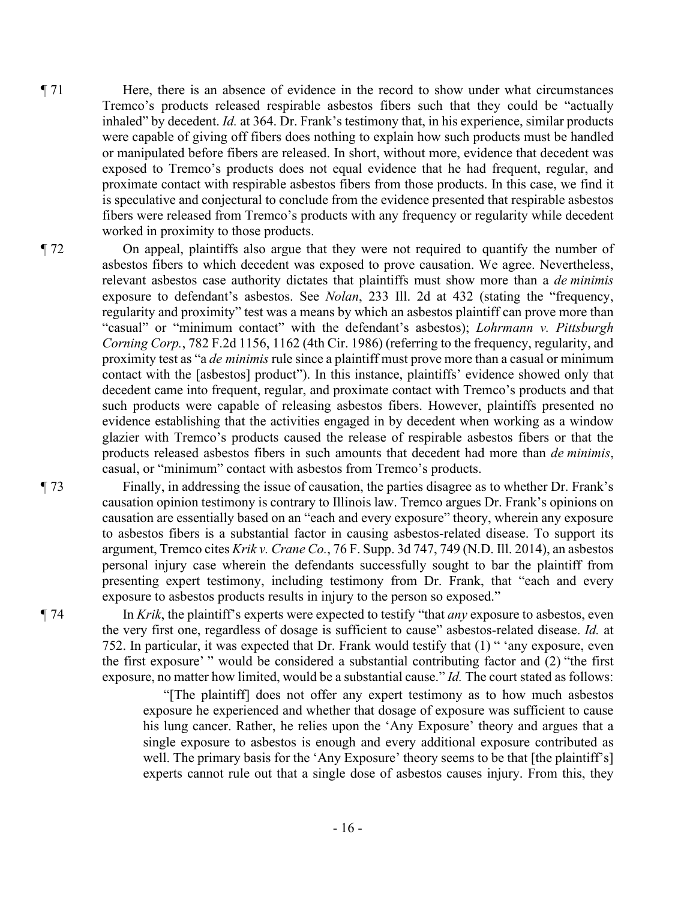- ¶ 71 Here, there is an absence of evidence in the record to show under what circumstances Tremco's products released respirable asbestos fibers such that they could be "actually inhaled" by decedent. *Id.* at 364. Dr. Frank's testimony that, in his experience, similar products were capable of giving off fibers does nothing to explain how such products must be handled or manipulated before fibers are released. In short, without more, evidence that decedent was exposed to Tremco's products does not equal evidence that he had frequent, regular, and proximate contact with respirable asbestos fibers from those products. In this case, we find it is speculative and conjectural to conclude from the evidence presented that respirable asbestos fibers were released from Tremco's products with any frequency or regularity while decedent worked in proximity to those products.
- ¶ 72 On appeal, plaintiffs also argue that they were not required to quantify the number of asbestos fibers to which decedent was exposed to prove causation. We agree. Nevertheless, relevant asbestos case authority dictates that plaintiffs must show more than a *de minimis* exposure to defendant's asbestos. See *Nolan*, 233 Ill. 2d at 432 (stating the "frequency, regularity and proximity" test was a means by which an asbestos plaintiff can prove more than "casual" or "minimum contact" with the defendant's asbestos); *Lohrmann v. Pittsburgh Corning Corp.*, 782 F.2d 1156, 1162 (4th Cir. 1986) (referring to the frequency, regularity, and proximity test as "a *de minimis* rule since a plaintiff must prove more than a casual or minimum contact with the [asbestos] product"). In this instance, plaintiffs' evidence showed only that decedent came into frequent, regular, and proximate contact with Tremco's products and that such products were capable of releasing asbestos fibers. However, plaintiffs presented no evidence establishing that the activities engaged in by decedent when working as a window glazier with Tremco's products caused the release of respirable asbestos fibers or that the products released asbestos fibers in such amounts that decedent had more than *de minimis*, casual, or "minimum" contact with asbestos from Tremco's products.

¶ 73 Finally, in addressing the issue of causation, the parties disagree as to whether Dr. Frank's causation opinion testimony is contrary to Illinois law. Tremco argues Dr. Frank's opinions on causation are essentially based on an "each and every exposure" theory, wherein any exposure to asbestos fibers is a substantial factor in causing asbestos-related disease. To support its argument, Tremco cites *Krik v. Crane Co.*, 76 F. Supp. 3d 747, 749 (N.D. Ill. 2014), an asbestos personal injury case wherein the defendants successfully sought to bar the plaintiff from presenting expert testimony, including testimony from Dr. Frank, that "each and every exposure to asbestos products results in injury to the person so exposed."

¶ 74 In *Krik*, the plaintiff's experts were expected to testify "that *any* exposure to asbestos, even the very first one, regardless of dosage is sufficient to cause" asbestos-related disease. *Id.* at 752. In particular, it was expected that Dr. Frank would testify that (1) " 'any exposure, even the first exposure' " would be considered a substantial contributing factor and (2) "the first exposure, no matter how limited, would be a substantial cause." *Id.* The court stated as follows:

> "[The plaintiff] does not offer any expert testimony as to how much asbestos exposure he experienced and whether that dosage of exposure was sufficient to cause his lung cancer. Rather, he relies upon the 'Any Exposure' theory and argues that a single exposure to asbestos is enough and every additional exposure contributed as well. The primary basis for the 'Any Exposure' theory seems to be that [the plaintiff's] experts cannot rule out that a single dose of asbestos causes injury. From this, they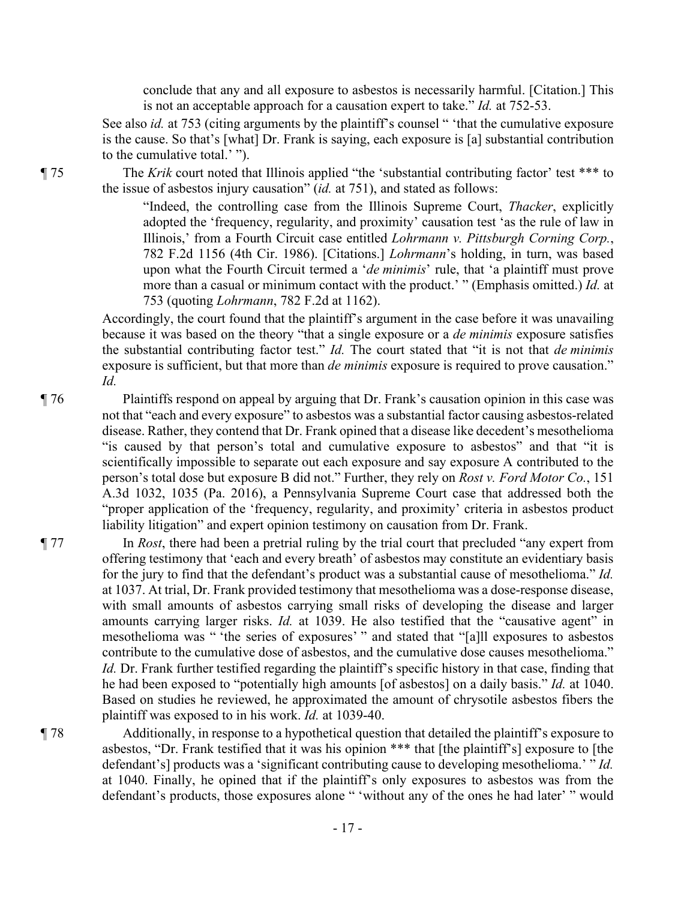conclude that any and all exposure to asbestos is necessarily harmful. [Citation.] This is not an acceptable approach for a causation expert to take." *Id.* at 752-53.

See also *id.* at 753 (citing arguments by the plaintiff's counsel " 'that the cumulative exposure is the cause. So that's [what] Dr. Frank is saying, each exposure is [a] substantial contribution to the cumulative total.' ").

¶ 75 The *Krik* court noted that Illinois applied "the 'substantial contributing factor' test \*\*\* to the issue of asbestos injury causation" (*id.* at 751), and stated as follows:

> "Indeed, the controlling case from the Illinois Supreme Court, *Thacker*, explicitly adopted the 'frequency, regularity, and proximity' causation test 'as the rule of law in Illinois,' from a Fourth Circuit case entitled *Lohrmann v. Pittsburgh Corning Corp.*, 782 F.2d 1156 (4th Cir. 1986). [Citations.] *Lohrmann*'s holding, in turn, was based upon what the Fourth Circuit termed a '*de minimis*' rule, that 'a plaintiff must prove more than a casual or minimum contact with the product.' " (Emphasis omitted.) *Id.* at 753 (quoting *Lohrmann*, 782 F.2d at 1162).

Accordingly, the court found that the plaintiff's argument in the case before it was unavailing because it was based on the theory "that a single exposure or a *de minimis* exposure satisfies the substantial contributing factor test." *Id.* The court stated that "it is not that *de minimis* exposure is sufficient, but that more than *de minimis* exposure is required to prove causation." *Id.* 

¶ 76 Plaintiffs respond on appeal by arguing that Dr. Frank's causation opinion in this case was not that "each and every exposure" to asbestos was a substantial factor causing asbestos-related disease. Rather, they contend that Dr. Frank opined that a disease like decedent's mesothelioma "is caused by that person's total and cumulative exposure to asbestos" and that "it is scientifically impossible to separate out each exposure and say exposure A contributed to the person's total dose but exposure B did not." Further, they rely on *Rost v. Ford Motor Co.*, 151 A.3d 1032, 1035 (Pa. 2016), a Pennsylvania Supreme Court case that addressed both the "proper application of the 'frequency, regularity, and proximity' criteria in asbestos product liability litigation" and expert opinion testimony on causation from Dr. Frank.

¶ 77 In *Rost*, there had been a pretrial ruling by the trial court that precluded "any expert from offering testimony that 'each and every breath' of asbestos may constitute an evidentiary basis for the jury to find that the defendant's product was a substantial cause of mesothelioma." *Id.*  at 1037. At trial, Dr. Frank provided testimony that mesothelioma was a dose-response disease, with small amounts of asbestos carrying small risks of developing the disease and larger amounts carrying larger risks. *Id.* at 1039. He also testified that the "causative agent" in mesothelioma was " 'the series of exposures' " and stated that "[a]ll exposures to asbestos contribute to the cumulative dose of asbestos, and the cumulative dose causes mesothelioma." *Id.* Dr. Frank further testified regarding the plaintiff's specific history in that case, finding that he had been exposed to "potentially high amounts [of asbestos] on a daily basis." *Id.* at 1040. Based on studies he reviewed, he approximated the amount of chrysotile asbestos fibers the plaintiff was exposed to in his work. *Id.* at 1039-40.

¶ 78 Additionally, in response to a hypothetical question that detailed the plaintiff's exposure to asbestos, "Dr. Frank testified that it was his opinion \*\*\* that [the plaintiff's] exposure to [the defendant's] products was a 'significant contributing cause to developing mesothelioma.' " *Id.*  at 1040. Finally, he opined that if the plaintiff's only exposures to asbestos was from the defendant's products, those exposures alone " 'without any of the ones he had later' " would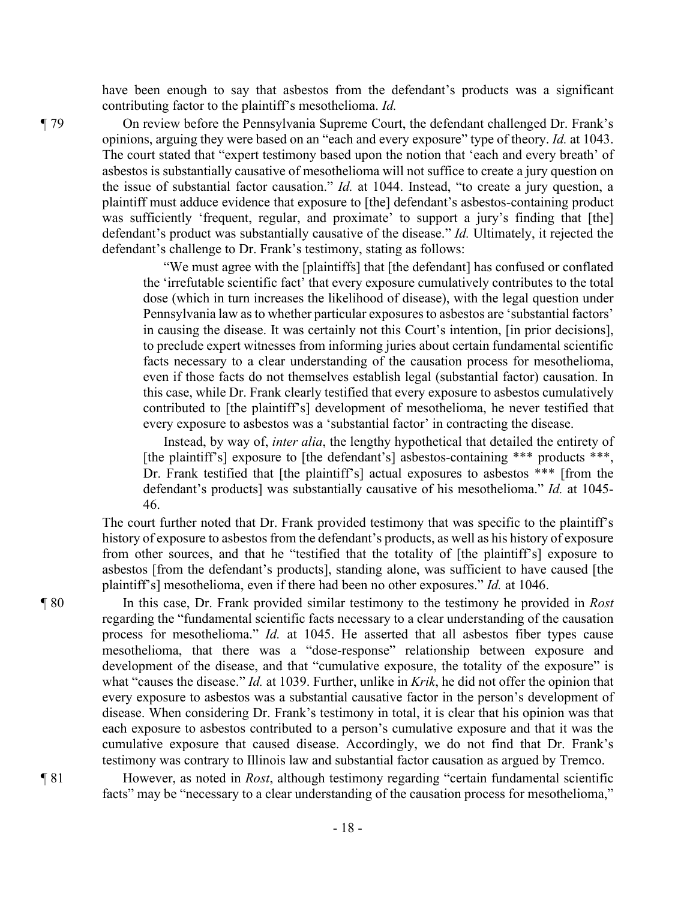have been enough to say that asbestos from the defendant's products was a significant contributing factor to the plaintiff's mesothelioma. *Id.* 

¶ 79 On review before the Pennsylvania Supreme Court, the defendant challenged Dr. Frank's opinions, arguing they were based on an "each and every exposure" type of theory. *Id.* at 1043. The court stated that "expert testimony based upon the notion that 'each and every breath' of asbestos is substantially causative of mesothelioma will not suffice to create a jury question on the issue of substantial factor causation." *Id.* at 1044. Instead, "to create a jury question, a plaintiff must adduce evidence that exposure to [the] defendant's asbestos-containing product was sufficiently 'frequent, regular, and proximate' to support a jury's finding that [the] defendant's product was substantially causative of the disease." *Id.* Ultimately, it rejected the defendant's challenge to Dr. Frank's testimony, stating as follows:

> "We must agree with the [plaintiffs] that [the defendant] has confused or conflated the 'irrefutable scientific fact' that every exposure cumulatively contributes to the total dose (which in turn increases the likelihood of disease), with the legal question under Pennsylvania law as to whether particular exposures to asbestos are 'substantial factors' in causing the disease. It was certainly not this Court's intention, [in prior decisions], to preclude expert witnesses from informing juries about certain fundamental scientific facts necessary to a clear understanding of the causation process for mesothelioma, even if those facts do not themselves establish legal (substantial factor) causation. In this case, while Dr. Frank clearly testified that every exposure to asbestos cumulatively contributed to [the plaintiff's] development of mesothelioma, he never testified that every exposure to asbestos was a 'substantial factor' in contracting the disease.

> Instead, by way of, *inter alia*, the lengthy hypothetical that detailed the entirety of [the plaintiff's] exposure to [the defendant's] asbestos-containing \*\*\* products \*\*\*, Dr. Frank testified that [the plaintiff's] actual exposures to asbestos \*\*\* [from the defendant's products] was substantially causative of his mesothelioma." *Id.* at 1045- 46.

The court further noted that Dr. Frank provided testimony that was specific to the plaintiff's history of exposure to asbestos from the defendant's products, as well as his history of exposure from other sources, and that he "testified that the totality of [the plaintiff's] exposure to asbestos [from the defendant's products], standing alone, was sufficient to have caused [the plaintiff's] mesothelioma, even if there had been no other exposures." *Id.* at 1046.

¶ 80 In this case, Dr. Frank provided similar testimony to the testimony he provided in *Rost* regarding the "fundamental scientific facts necessary to a clear understanding of the causation process for mesothelioma." *Id.* at 1045. He asserted that all asbestos fiber types cause mesothelioma, that there was a "dose-response" relationship between exposure and development of the disease, and that "cumulative exposure, the totality of the exposure" is what "causes the disease." *Id.* at 1039. Further, unlike in *Krik*, he did not offer the opinion that every exposure to asbestos was a substantial causative factor in the person's development of disease. When considering Dr. Frank's testimony in total, it is clear that his opinion was that each exposure to asbestos contributed to a person's cumulative exposure and that it was the cumulative exposure that caused disease. Accordingly, we do not find that Dr. Frank's testimony was contrary to Illinois law and substantial factor causation as argued by Tremco.

¶ 81 However, as noted in *Rost*, although testimony regarding "certain fundamental scientific facts" may be "necessary to a clear understanding of the causation process for mesothelioma,"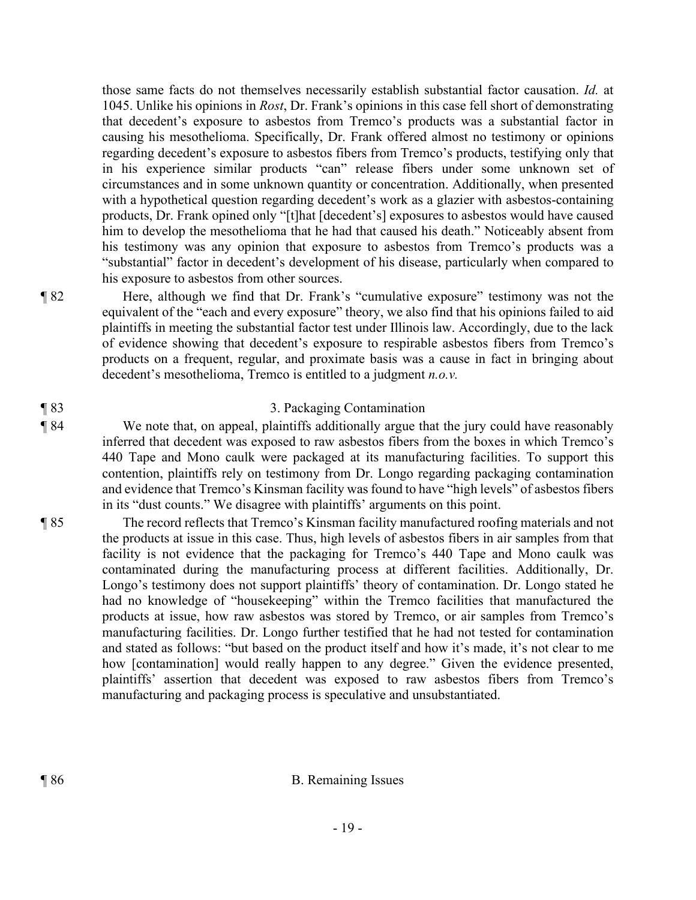those same facts do not themselves necessarily establish substantial factor causation. *Id.* at 1045. Unlike his opinions in *Rost*, Dr. Frank's opinions in this case fell short of demonstrating that decedent's exposure to asbestos from Tremco's products was a substantial factor in causing his mesothelioma. Specifically, Dr. Frank offered almost no testimony or opinions regarding decedent's exposure to asbestos fibers from Tremco's products, testifying only that in his experience similar products "can" release fibers under some unknown set of circumstances and in some unknown quantity or concentration. Additionally, when presented with a hypothetical question regarding decedent's work as a glazier with asbestos-containing products, Dr. Frank opined only "[t]hat [decedent's] exposures to asbestos would have caused him to develop the mesothelioma that he had that caused his death." Noticeably absent from his testimony was any opinion that exposure to asbestos from Tremco's products was a "substantial" factor in decedent's development of his disease, particularly when compared to his exposure to asbestos from other sources.

¶ 82 Here, although we find that Dr. Frank's "cumulative exposure" testimony was not the equivalent of the "each and every exposure" theory, we also find that his opinions failed to aid plaintiffs in meeting the substantial factor test under Illinois law. Accordingly, due to the lack of evidence showing that decedent's exposure to respirable asbestos fibers from Tremco's products on a frequent, regular, and proximate basis was a cause in fact in bringing about decedent's mesothelioma, Tremco is entitled to a judgment *n.o.v.*

## ¶ 83 3. Packaging Contamination

- ¶ 84 We note that, on appeal, plaintiffs additionally argue that the jury could have reasonably inferred that decedent was exposed to raw asbestos fibers from the boxes in which Tremco's 440 Tape and Mono caulk were packaged at its manufacturing facilities. To support this contention, plaintiffs rely on testimony from Dr. Longo regarding packaging contamination and evidence that Tremco's Kinsman facility was found to have "high levels" of asbestos fibers in its "dust counts." We disagree with plaintiffs' arguments on this point.
- ¶ 85 The record reflects that Tremco's Kinsman facility manufactured roofing materials and not the products at issue in this case. Thus, high levels of asbestos fibers in air samples from that facility is not evidence that the packaging for Tremco's 440 Tape and Mono caulk was contaminated during the manufacturing process at different facilities. Additionally, Dr. Longo's testimony does not support plaintiffs' theory of contamination. Dr. Longo stated he had no knowledge of "housekeeping" within the Tremco facilities that manufactured the products at issue, how raw asbestos was stored by Tremco, or air samples from Tremco's manufacturing facilities. Dr. Longo further testified that he had not tested for contamination and stated as follows: "but based on the product itself and how it's made, it's not clear to me how [contamination] would really happen to any degree." Given the evidence presented, plaintiffs' assertion that decedent was exposed to raw asbestos fibers from Tremco's manufacturing and packaging process is speculative and unsubstantiated.